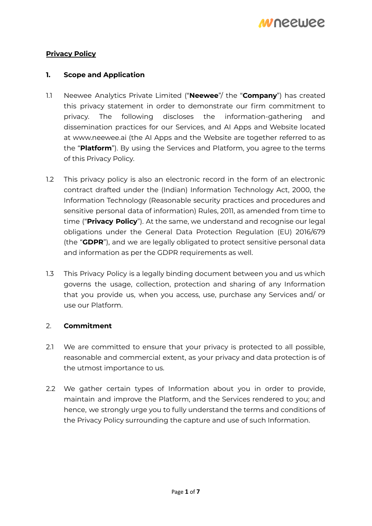

# **Privacy Policy**

## **1. Scope and Application**

- 1.1 Neewee Analytics Private Limited ("**Neewee**"/ the "**Company**") has created this privacy statement in order to demonstrate our firm commitment to privacy. The following discloses the information-gathering and dissemination practices for our Services, and AI Apps and Website located at [www.neewee.ai](http://www.neewee.ai) (the AI Apps and the Website are together referred to as the "**Platform**"). By using the Services and Platform, you agree to the terms of this Privacy Policy.
- 1.2 This privacy policy is also an electronic record in the form of an electronic contract drafted under the (Indian) Information Technology Act, 2000, the Information Technology (Reasonable security practices and procedures and sensitive personal data of information) Rules, 2011, as amended from time to time ("**Privacy Policy**"). At the same, we understand and recognise our legal obligations under the General Data Protection Regulation (EU) 2016/679 (the "**GDPR**"), and we are legally obligated to protect sensitive personal data and information as per the GDPR requirements as well.
- 1.3 This Privacy Policy is a legally binding document between you and us which governs the usage, collection, protection and sharing of any Information that you provide us, when you access, use, purchase any Services and/ or use our Platform.

## 2. **Commitment**

- 2.1 We are committed to ensure that your privacy is protected to all possible, reasonable and commercial extent, as your privacy and data protection is of the utmost importance to us.
- 2.2 We gather certain types of Information about you in order to provide, maintain and improve the Platform, and the Services rendered to you; and hence, we strongly urge you to fully understand the terms and conditions of the Privacy Policy surrounding the capture and use of such Information.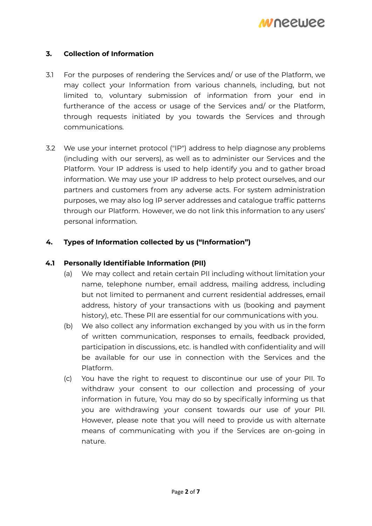# **3. Collection of Information**

- 3.1 For the purposes of rendering the Services and/ or use of the Platform, we may collect your Information from various channels, including, but not limited to, voluntary submission of information from your end in furtherance of the access or usage of the Services and/ or the Platform, through requests initiated by you towards the Services and through communications.
- 3.2 We use your internet protocol ("IP") address to help diagnose any problems (including with our servers), as well as to administer our Services and the Platform. Your IP address is used to help identify you and to gather broad information. We may use your IP address to help protect ourselves, and our partners and customers from any adverse acts. For system administration purposes, we may also log IP server addresses and catalogue traffic patterns through our Platform. However, we do not link this information to any users' personal information.

# **4. Types of Information collected by us ("Information")**

## **4.1 Personally Identifiable Information (PII)**

- (a) We may collect and retain certain PII including without limitation your name, telephone number, email address, mailing address, including but not limited to permanent and current residential addresses, email address, history of your transactions with us (booking and payment history), etc. These PII are essential for our communications with you.
- (b) We also collect any information exchanged by you with us in the form of written communication, responses to emails, feedback provided, participation in discussions, etc. is handled with confidentiality and will be available for our use in connection with the Services and the Platform.
- (c) You have the right to request to discontinue our use of your PII. To withdraw your consent to our collection and processing of your information in future, You may do so by specifically informing us that you are withdrawing your consent towards our use of your PII. However, please note that you will need to provide us with alternate means of communicating with you if the Services are on-going in nature.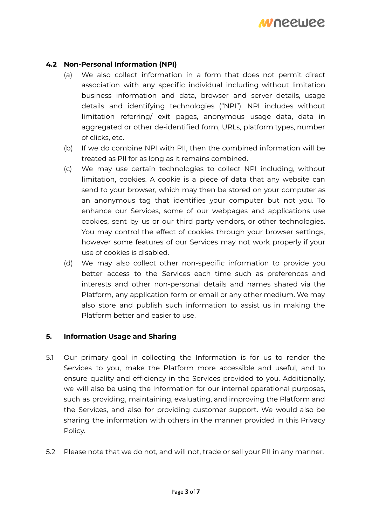

### **4.2 Non-Personal Information (NPI)**

- (a) We also collect information in a form that does not permit direct association with any specific individual including without limitation business information and data, browser and server details, usage details and identifying technologies ("NPI"). NPI includes without limitation referring/ exit pages, anonymous usage data, data in aggregated or other de-identified form, URLs, platform types, number of clicks, etc.
- (b) If we do combine NPI with PII, then the combined information will be treated as PII for as long as it remains combined.
- (c) We may use certain technologies to collect NPI including, without limitation, cookies. A cookie is a piece of data that any website can send to your browser, which may then be stored on your computer as an anonymous tag that identifies your computer but not you. To enhance our Services, some of our webpages and applications use cookies, sent by us or our third party vendors, or other technologies. You may control the effect of cookies through your browser settings, however some features of our Services may not work properly if your use of cookies is disabled.
- (d) We may also collect other non-specific information to provide you better access to the Services each time such as preferences and interests and other non-personal details and names shared via the Platform, any application form or email or any other medium. We may also store and publish such information to assist us in making the Platform better and easier to use.

#### **5. Information Usage and Sharing**

- 5.1 Our primary goal in collecting the Information is for us to render the Services to you, make the Platform more accessible and useful, and to ensure quality and efficiency in the Services provided to you. Additionally, we will also be using the Information for our internal operational purposes, such as providing, maintaining, evaluating, and improving the Platform and the Services, and also for providing customer support. We would also be sharing the information with others in the manner provided in this Privacy Policy.
- 5.2 Please note that we do not, and will not, trade or sell your PII in any manner.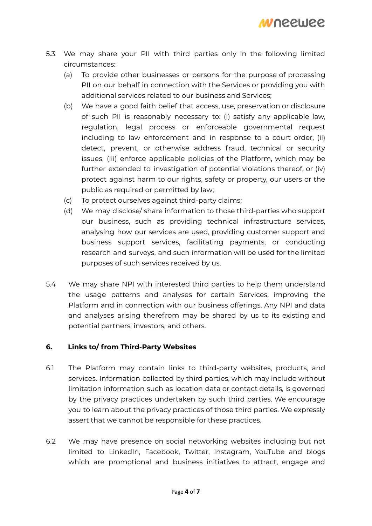- 5.3 We may share your PII with third parties only in the following limited circumstances:
	- (a) To provide other businesses or persons for the purpose of processing PII on our behalf in connection with the Services or providing you with additional services related to our business and Services;
	- (b) We have a good faith belief that access, use, preservation or disclosure of such PII is reasonably necessary to: (i) satisfy any applicable law, regulation, legal process or enforceable governmental request including to law enforcement and in response to a court order, (ii) detect, prevent, or otherwise address fraud, technical or security issues, (iii) enforce applicable policies of the Platform, which may be further extended to investigation of potential violations thereof, or (iv) protect against harm to our rights, safety or property, our users or the public as required or permitted by law;
	- (c) To protect ourselves against third-party claims;
	- (d) We may disclose/ share information to those third-parties who support our business, such as providing technical infrastructure services, analysing how our services are used, providing customer support and business support services, facilitating payments, or conducting research and surveys, and such information will be used for the limited purposes of such services received by us.
- 5.4 We may share NPI with interested third parties to help them understand the usage patterns and analyses for certain Services, improving the Platform and in connection with our business offerings. Any NPI and data and analyses arising therefrom may be shared by us to its existing and potential partners, investors, and others.

# **6. Links to/ from Third-Party Websites**

- 6.1 The Platform may contain links to third-party websites, products, and services. Information collected by third parties, which may include without limitation information such as location data or contact details, is governed by the privacy practices undertaken by such third parties. We encourage you to learn about the privacy practices of those third parties. We expressly assert that we cannot be responsible for these practices.
- 6.2 We may have presence on social networking websites including but not limited to LinkedIn, Facebook, Twitter, Instagram, YouTube and blogs which are promotional and business initiatives to attract, engage and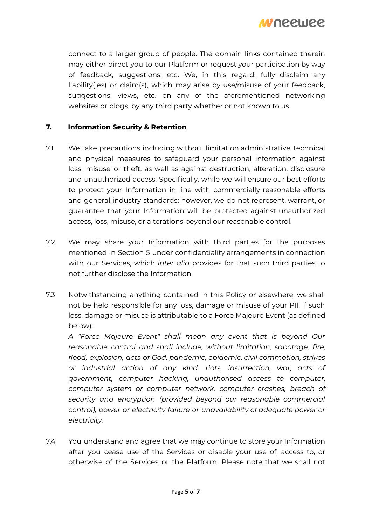*MI* DECIJEE

connect to a larger group of people. The domain links contained therein may either direct you to our Platform or request your participation by way of feedback, suggestions, etc. We, in this regard, fully disclaim any liability(ies) or claim(s), which may arise by use/misuse of your feedback, suggestions, views, etc. on any of the aforementioned networking websites or blogs, by any third party whether or not known to us.

## **7. Information Security & Retention**

- 7.1 We take precautions including without limitation administrative, technical and physical measures to safeguard your personal information against loss, misuse or theft, as well as against destruction, alteration, disclosure and unauthorized access. Specifically, while we will ensure our best efforts to protect your Information in line with commercially reasonable efforts and general industry standards; however, we do not represent, warrant, or guarantee that your Information will be protected against unauthorized access, loss, misuse, or alterations beyond our reasonable control.
- 7.2 We may share your Information with third parties for the purposes mentioned in Section 5 under confidentiality arrangements in connection with our Services, which *inter alia* provides for that such third parties to not further disclose the Information.
- 7.3 Notwithstanding anything contained in this Policy or elsewhere, we shall not be held responsible for any loss, damage or misuse of your PII, if such loss, damage or misuse is attributable to a Force Majeure Event (as defined below):

*A "Force Majeure Event" shall mean any event that is beyond Our reasonable control and shall include, without limitation, sabotage, fire, flood, explosion, acts of God, pandemic, epidemic, civil commotion, strikes or industrial action of any kind, riots, insurrection, war, acts of government, computer hacking, unauthorised access to computer, computer system or computer network, computer crashes, breach of security and encryption (provided beyond our reasonable commercial control), power or electricity failure or unavailability of adequate power or electricity.*

7.4 You understand and agree that we may continue to store your Information after you cease use of the Services or disable your use of, access to, or otherwise of the Services or the Platform. Please note that we shall not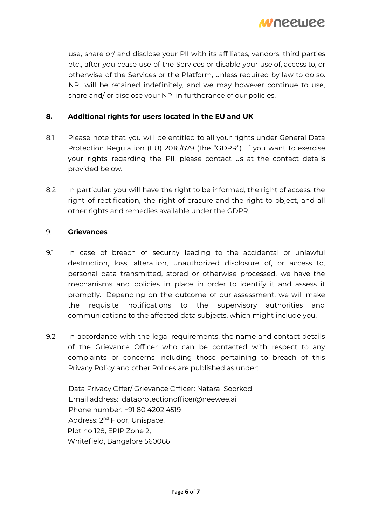

use, share or/ and disclose your PII with its affiliates, vendors, third parties etc., after you cease use of the Services or disable your use of, access to, or otherwise of the Services or the Platform, unless required by law to do so. NPI will be retained indefinitely, and we may however continue to use, share and/ or disclose your NPI in furtherance of our policies.

### **8. Additional rights for users located in the EU and UK**

- 8.1 Please note that you will be entitled to all your rights under General Data Protection Regulation (EU) 2016/679 (the "GDPR"). If you want to exercise your rights regarding the PII, please contact us at the contact details provided below.
- 8.2 In particular, you will have the right to be informed, the right of access, the right of rectification, the right of erasure and the right to object, and all other rights and remedies available under the GDPR.

#### 9. **Grievances**

- 9.1 In case of breach of security leading to the accidental or unlawful destruction, loss, alteration, unauthorized disclosure of, or access to, personal data transmitted, stored or otherwise processed, we have the mechanisms and policies in place in order to identify it and assess it promptly. Depending on the outcome of our assessment, we will make the requisite notifications to the supervisory authorities and communications to the affected data subjects, which might include you.
- 9.2 In accordance with the legal requirements, the name and contact details of the Grievance Officer who can be contacted with respect to any complaints or concerns including those pertaining to breach of this Privacy Policy and other Polices are published as under:

Data Privacy Offer/ Grievance Officer: Nataraj Soorkod Email address: [dataprotectionofficer@neewee.ai](mailto:dataprotectionofficer@neewee.ai) Phone number: +91 80 4202 4519 Address: 2<sup>nd</sup> Floor, Unispace, Plot no 128, EPIP Zone 2, Whitefield, Bangalore 560066